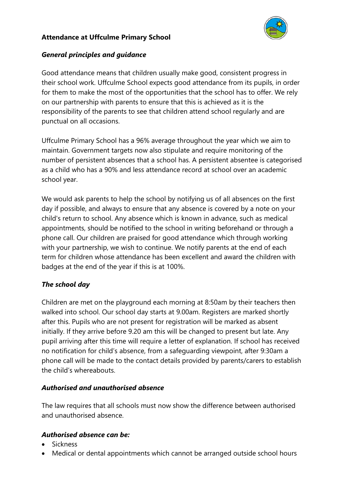# **Attendance at Uffculme Primary School**



## *General principles and guidance*

Good attendance means that children usually make good, consistent progress in their school work. Uffculme School expects good attendance from its pupils, in order for them to make the most of the opportunities that the school has to offer. We rely on our partnership with parents to ensure that this is achieved as it is the responsibility of the parents to see that children attend school regularly and are punctual on all occasions.

Uffculme Primary School has a 96% average throughout the year which we aim to maintain. Government targets now also stipulate and require monitoring of the number of persistent absences that a school has. A persistent absentee is categorised as a child who has a 90% and less attendance record at school over an academic school year.

We would ask parents to help the school by notifying us of all absences on the first day if possible, and always to ensure that any absence is covered by a note on your child's return to school. Any absence which is known in advance, such as medical appointments, should be notified to the school in writing beforehand or through a phone call. Our children are praised for good attendance which through working with your partnership, we wish to continue. We notify parents at the end of each term for children whose attendance has been excellent and award the children with badges at the end of the year if this is at 100%.

# *The school day*

Children are met on the playground each morning at 8:50am by their teachers then walked into school. Our school day starts at 9.00am. Registers are marked shortly after this. Pupils who are not present for registration will be marked as absent initially. If they arrive before 9.20 am this will be changed to present but late. Any pupil arriving after this time will require a letter of explanation. If school has received no notification for child's absence, from a safeguarding viewpoint, after 9:30am a phone call will be made to the contact details provided by parents/carers to establish the child's whereabouts.

#### *Authorised and unauthorised absence*

The law requires that all schools must now show the difference between authorised and unauthorised absence.

# *Authorised absence can be:*

- Sickness
- Medical or dental appointments which cannot be arranged outside school hours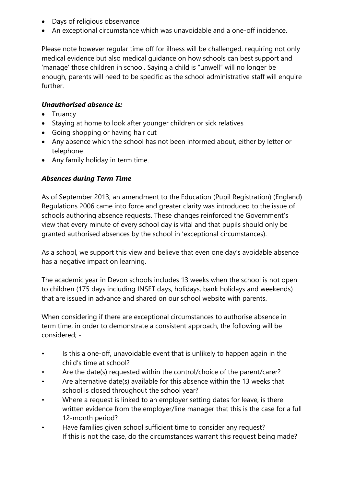- Days of religious observance
- An exceptional circumstance which was unavoidable and a one-off incidence.

Please note however regular time off for illness will be challenged, requiring not only medical evidence but also medical guidance on how schools can best support and 'manage' those children in school. Saying a child is "unwell" will no longer be enough, parents will need to be specific as the school administrative staff will enquire further.

## *Unauthorised absence is:*

- Truancy
- Staying at home to look after younger children or sick relatives
- Going shopping or having hair cut
- Any absence which the school has not been informed about, either by letter or telephone
- Any family holiday in term time.

## *Absences during Term Time*

As of September 2013, an amendment to the Education (Pupil Registration) (England) Regulations 2006 came into force and greater clarity was introduced to the issue of schools authoring absence requests. These changes reinforced the Government's view that every minute of every school day is vital and that pupils should only be granted authorised absences by the school in 'exceptional circumstances).

As a school, we support this view and believe that even one day's avoidable absence has a negative impact on learning.

The academic year in Devon schools includes 13 weeks when the school is not open to children (175 days including INSET days, holidays, bank holidays and weekends) that are issued in advance and shared on our school website with parents.

When considering if there are exceptional circumstances to authorise absence in term time, in order to demonstrate a consistent approach, the following will be considered; -

- Is this a one-off, unavoidable event that is unlikely to happen again in the child's time at school?
- Are the date(s) requested within the control/choice of the parent/carer?
- Are alternative date(s) available for this absence within the 13 weeks that school is closed throughout the school year?
- Where a request is linked to an employer setting dates for leave, is there written evidence from the employer/line manager that this is the case for a full 12-month period?
- Have families given school sufficient time to consider any request? If this is not the case, do the circumstances warrant this request being made?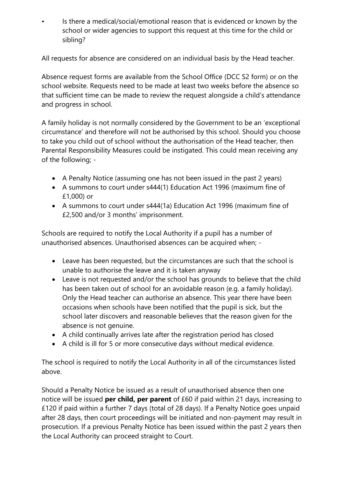• Is there a medical/social/emotional reason that is evidenced or known by the school or wider agencies to support this request at this time for the child or sibling?

All requests for absence are considered on an individual basis by the Head teacher.

Absence request forms are available from the School Office (DCC S2 form) or on the school website. Requests need to be made at least two weeks before the absence so that sufficient time can be made to review the request alongside a child's attendance and progress in school.

A family holiday is not normally considered by the Government to be an 'exceptional circumstance' and therefore will not be authorised by this school. Should you choose to take you child out of school without the authorisation of the Head teacher, then Parental Responsibility Measures could be instigated. This could mean receiving any of the following; -

- A Penalty Notice (assuming one has not been issued in the past 2 years)
- A summons to court under s444(1) Education Act 1996 (maximum fine of £1,000) or
- A summons to court under s444(1a) Education Act 1996 (maximum fine of £2,500 and/or 3 months' imprisonment.

Schools are required to notify the Local Authority if a pupil has a number of unauthorised absences. Unauthorised absences can be acquired when; -

- Leave has been requested, but the circumstances are such that the school is unable to authorise the leave and it is taken anyway
- Leave is not requested and/or the school has grounds to believe that the child has been taken out of school for an avoidable reason (e.g. a family holiday). Only the Head teacher can authorise an absence. This year there have been occasions when schools have been notified that the pupil is sick, but the school later discovers and reasonable believes that the reason given for the absence is not genuine.
- A child continually arrives late after the registration period has closed
- A child is ill for 5 or more consecutive days without medical evidence.

The school is required to notify the Local Authority in all of the circumstances listed above.

Should a Penalty Notice be issued as a result of unauthorised absence then one notice will be issued **per child, per parent** of £60 if paid within 21 days, increasing to £120 if paid within a further 7 days (total of 28 days). If a Penalty Notice goes unpaid after 28 days, then court proceedings will be initiated and non-payment may result in prosecution. If a previous Penalty Notice has been issued within the past 2 years then the Local Authority can proceed straight to Court.